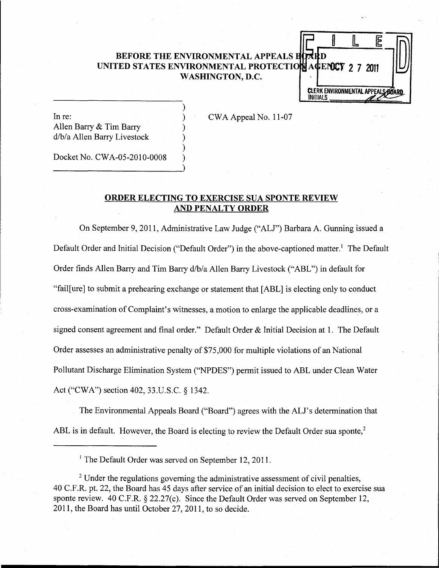# **BEFORE THE ENVIRONMENTAL APPEALS BOARD** UNITED STATES ENVIRONMENTAL PROTECTION AGENCY 2 7 2011 **WASHINGTON, D.C.**

In re: Allen Barry & Tim Barry d/b/a Allen Barry Livestock

CWA Appeal No. 11-07

 $\mathbf{L}$ 

E

**CLERK ENVIRONMENTAL APPEALS**<br>INITIALS

Docket No. CWA-05-2010-0008

----------------------)

## **ORDER ELECTING TO EXERCISE** SUA **SPONTE REVIEW AND PENALTY ORDER**

) ) ) ) ) )

On September 9,2011, Administrative Law Judge ("ALJ") Barbara A. Gunning issued a Default Order and Initial Decision ("Default Order") in the above-captioned matter.<sup>1</sup> The Default Order finds Allen Barry and Tim Barry d/b/a Allen Barry Livestock ("ABL") in default for "fail[ure] to submit a prehearing exchange or statement that [ABL] is electing only to conduct cross-examination of Complaint's witnesses, a motion to enlarge the applicable deadlines, or a signed consent agreement and final order." Default Order & Initial Decision at 1. The Default Order assesses an administrative penalty of \$75,000 for multiple violations of an National Pollutant Discharge Elimination System ("NPDES") permit issued to ABL under Clean Water Act ("CWA") section 402, 33.U.S.C. § 1342.

The Environmental Appeals Board ("Board") agrees with the ALl's determination that ABL is in default. However, the Board is electing to review the Default Order sua sponte,<sup>2</sup>

<sup>1</sup> The Default Order was served on September 12, 2011.

<sup>2</sup> Under the regulations governing the administrative assessment of civil penalties, 40 C.F.R. pt. 22, the Board has 45 days after service of an initial decision to elect to exercise sua sponte review. 40 C.F.R. § 22.27(c). Since the Default Order was served on September 12, 2011, the Board has until October 27,2011, to so decide.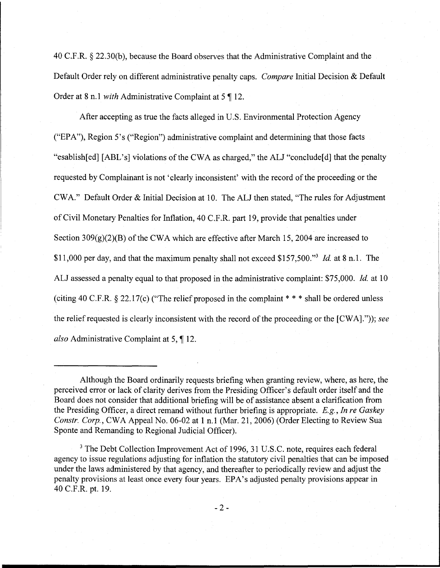40 C.F.R. § 22.30(b), because the Board observes that the Administrative Complaint and the Default Order rely on different administrative penalty caps. *Compare* Initial Decision & Default Order at 8 n.1 *with* Administrative Complaint at 5 ¶ 12.

After accepting as true the facts alleged in U.S. Environmental Protection Agency ("EP A"), Region 5' s ("Region") administrative complaint and determining that those facts "esablish[ed] [ABL's] violations of the CWA as charged," the ALJ "conclude[d] that the penalty requested by Complainant is not' clearly inconsistent' with the record of the proceeding or the CWA." Default Order & Initial Decision at 10. The ALJ then stated, "The rules for Adjustment of Civil Monetary Penalties for Inflation, 40 C.F.R. part 19, provide that penalties under Section  $309(g)(2)(B)$  of the CWA which are effective after March 15, 2004 are increased to \$11,000 per day, and that the maximum penalty shall not exceed \$157,500."<sup>3</sup> *Id.* at 8 n.1. The ALJ assessed a penalty equal to that proposed in the administrative complaint: \$75,000. *Id.* at 10 (citing 40 C.F.R.  $\S 22.17(c)$  ("The relief proposed in the complaint  $* * *$  shall be ordered unless the relief requested is clearly inconsistent with the record of the proceeding or the  $[CWA].")$ ; *see also* Administrative Complaint at 5, 12.

Although the Board ordinarily requests briefing when granting review, where, as here, the perceived error or lack of clarity derives from the Presiding Officer's default order itself and the Board does not consider that additional briefing will be of assistance absent a clarification from the Presiding Officer, a direct remand without further briefing is appropriate. *E.g., In re Gaskey Constr. Corp.,* CWA Appeal No. 06-02 at 1 n.1 (Mar. 21, 2006) (Order Electing to Review Sua Sponte and Remanding to Regional Judicial Officer).

<sup>&</sup>lt;sup>3</sup> The Debt Collection Improvement Act of 1996, 31 U.S.C. note, requires each federal agency to issue regulations adjusting for inflation the statutory civil penalties that can be imposed under the laws administered by that agency, and thereafter to periodically review and adjust the penalty provisions at least once every four years. EPA's adjusted penalty provisions appear in 40 C.F.R. pt. 19.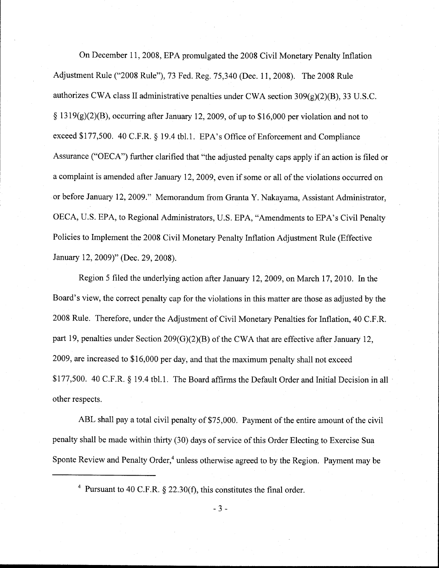On December 11, 2008, EPA promulgated the 2008 Civil Monetary Penalty Inflation Adjustment Rule ("2008 Rule"), 73 Fed. Reg. 75,340 (Dec. 11,2008). The 2008 Rule authorizes CWA class II administrative penalties under CWA section 309(g)(2)(B), 33 U.S.C. § 1319(g)(2)(B), occurring after January 12, 2009, of up to \$16,000 per violation and not to exceed \$177,500. 40 C.F.R. § 19.4 tbl.1. EPA's Office of Enforcement and Compliance Assurance ("OECA") further clarified that "the adjusted penalty caps apply if an action is filed or a complaint is amended after January 12, 2009, even if some or all of the violations occurred on or before January 12,2009." Memorandum from Granta Y. Nakayama, Assistant Administrator, OECA, U.S. EPA, to Regional Administrators, U.S. EPA, "Amendments to EPA's Civil Penalty Policies to Implement the 2008 Civil Monetary Penalty Inflation Adjustment Rule (Effective January 12,2009)" (Dec. 29, 2008).

Region 5 filed the underlying action after January 12,2009, on March 17,2010. In the Board's view, the correct penalty cap for the violations in this matter are those as adjusted by the 2008 Rule. Therefore, under the Adjustment of Civil Monetary Penalties for Inflation, 40 C.F.R. part 19, penalties under Section 209(G)(2)(B) of the CWA that are effective after January 12, 2009, are increased to \$16,000 per day, and that the maximum penalty shall not exceed \$177,500. 40 C.F.R. § 19.4 tbl.1. The Board affirms the Default Order and Initial Decision in all other respects.

ABL shall pay a total civil penalty of \$75,000. Payment of the entire amount of the civil penalty shall be made within thirty (30) days of service of this Order Electing to Exercise Sua Sponte Review and Penalty Order,<sup>4</sup> unless otherwise agreed to by the Region. Payment may be

4 Pursuant to 40 C.F.R. § 22.30(f), this constitutes the final order.

- 3 -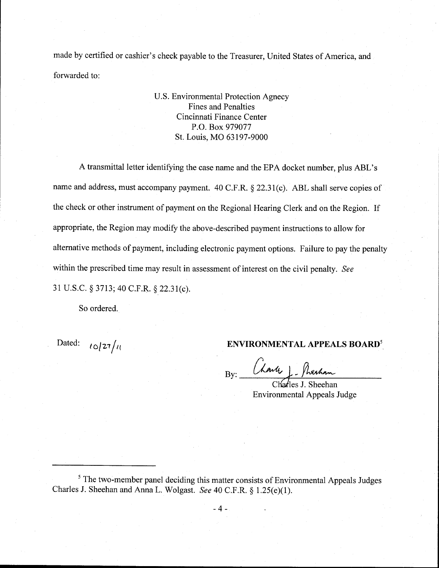made by certified or cashier's check payable to the Treasurer, United States of America, and forwarded to:

> U.S. Environmental Protection Agnecy Fines and Penalties Cincinnati Finance Center P.O. Box 979077 St. Louis, MO 63197-9000

A transmittal letter identifying the case name and the EPA docket number, plus ABL's name and address, must accompany payment. 40 C.F.R. § 22.31(c). ABL shall serve copies of the check or other instrument of payment on the Regional Hearing Clerk and on the Region. If appropriate, the Region may modify the above-described payment instructions to allow for alternative methods of payment, including electronic payment options. Failure to pay the penalty within the prescribed time may result in assessment of interest on the civil penalty. *See*  31 U.S.C. § 3713; 40 C.F.R. § 22.31(c).

So ordered.

# Dated:  $\iota_{\mathcal{O}}/27/\iota$  **ENVIRONMENTAL APPEALS BOARD<sup>5</sup>**

 $By: \frac{(\lambda \wedge \mu) \cdot \text{h}_{\text{exch}}}{\text{Chafles J. Sheehan}}$ 

Environmental Appeals Judge

<sup>&</sup>lt;sup>5</sup> The two-member panel deciding this matter consists of Environmental Appeals Judges Charles J. Sheehan and Anna L. Wolgast. *See* 40 C.F.R. § 1.25(e)(l).